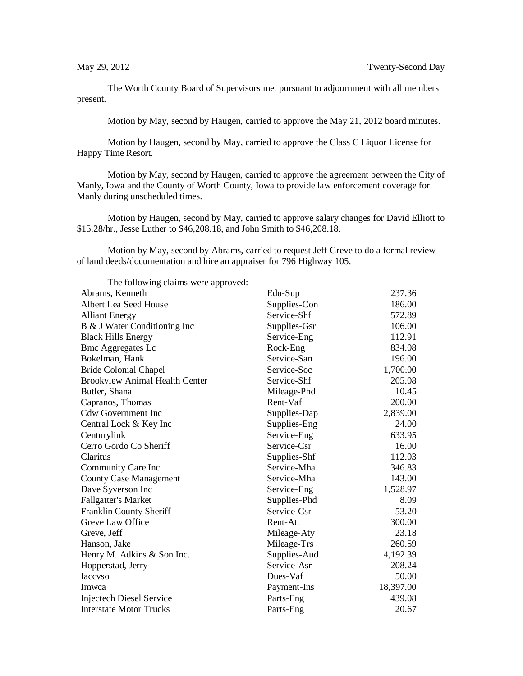The Worth County Board of Supervisors met pursuant to adjournment with all members present.

Motion by May, second by Haugen, carried to approve the May 21, 2012 board minutes.

Motion by Haugen, second by May, carried to approve the Class C Liquor License for Happy Time Resort.

Motion by May, second by Haugen, carried to approve the agreement between the City of Manly, Iowa and the County of Worth County, Iowa to provide law enforcement coverage for Manly during unscheduled times.

Motion by Haugen, second by May, carried to approve salary changes for David Elliott to \$15.28/hr., Jesse Luther to \$46,208.18, and John Smith to \$46,208.18.

Motion by May, second by Abrams, carried to request Jeff Greve to do a formal review of land deeds/documentation and hire an appraiser for 796 Highway 105.

| The following claims were approved:   |              |           |
|---------------------------------------|--------------|-----------|
| Abrams, Kenneth                       | Edu-Sup      | 237.36    |
| Albert Lea Seed House                 | Supplies-Con | 186.00    |
| <b>Alliant Energy</b>                 | Service-Shf  | 572.89    |
| B & J Water Conditioning Inc          | Supplies-Gsr | 106.00    |
| <b>Black Hills Energy</b>             | Service-Eng  | 112.91    |
| <b>Bmc Aggregates Lc</b>              | Rock-Eng     | 834.08    |
| Bokelman, Hank                        | Service-San  | 196.00    |
| <b>Bride Colonial Chapel</b>          | Service-Soc  | 1,700.00  |
| <b>Brookview Animal Health Center</b> | Service-Shf  | 205.08    |
| Butler, Shana                         | Mileage-Phd  | 10.45     |
| Capranos, Thomas                      | Rent-Vaf     | 200.00    |
| <b>Cdw Government Inc</b>             | Supplies-Dap | 2,839.00  |
| Central Lock & Key Inc                | Supplies-Eng | 24.00     |
| Centurylink                           | Service-Eng  | 633.95    |
| Cerro Gordo Co Sheriff                | Service-Csr  | 16.00     |
| Claritus                              | Supplies-Shf | 112.03    |
| Community Care Inc                    | Service-Mha  | 346.83    |
| <b>County Case Management</b>         | Service-Mha  | 143.00    |
| Dave Syverson Inc                     | Service-Eng  | 1,528.97  |
| <b>Fallgatter's Market</b>            | Supplies-Phd | 8.09      |
| Franklin County Sheriff               | Service-Csr  | 53.20     |
| Greve Law Office                      | Rent-Att     | 300.00    |
| Greve, Jeff                           | Mileage-Aty  | 23.18     |
| Hanson, Jake                          | Mileage-Trs  | 260.59    |
| Henry M. Adkins & Son Inc.            | Supplies-Aud | 4,192.39  |
| Hopperstad, Jerry                     | Service-Asr  | 208.24    |
| <b>Iaccyso</b>                        | Dues-Vaf     | 50.00     |
| Imwca                                 | Payment-Ins  | 18,397.00 |
| <b>Injectech Diesel Service</b>       | Parts-Eng    | 439.08    |
| <b>Interstate Motor Trucks</b>        | Parts-Eng    | 20.67     |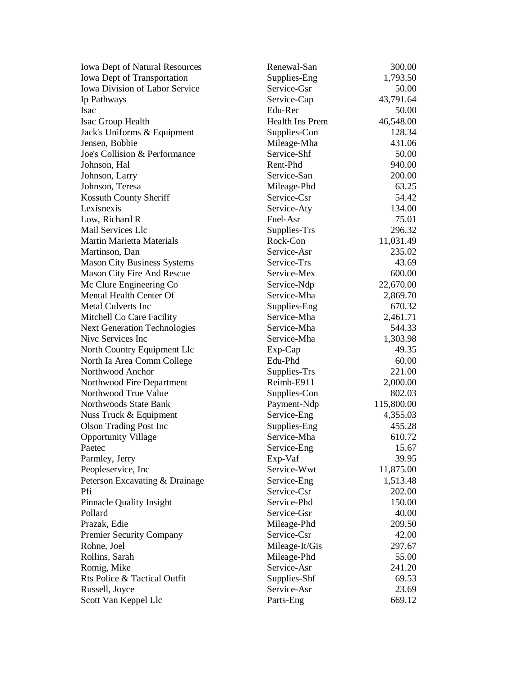| <b>Iowa Dept of Natural Resources</b> | Renewal-San     | 300.00     |
|---------------------------------------|-----------------|------------|
| Iowa Dept of Transportation           | Supplies-Eng    | 1,793.50   |
| <b>Iowa Division of Labor Service</b> | Service-Gsr     | 50.00      |
| Ip Pathways                           | Service-Cap     | 43,791.64  |
| Isac                                  | Edu-Rec         | 50.00      |
| Isac Group Health                     | Health Ins Prem | 46,548.00  |
| Jack's Uniforms & Equipment           | Supplies-Con    | 128.34     |
| Jensen, Bobbie                        | Mileage-Mha     | 431.06     |
| Joe's Collision & Performance         | Service-Shf     | 50.00      |
| Johnson, Hal                          | Rent-Phd        | 940.00     |
| Johnson, Larry                        | Service-San     | 200.00     |
| Johnson, Teresa                       | Mileage-Phd     | 63.25      |
| Kossuth County Sheriff                | Service-Csr     | 54.42      |
| Lexisnexis                            | Service-Aty     | 134.00     |
| Low, Richard R                        | Fuel-Asr        | 75.01      |
| Mail Services Llc                     | Supplies-Trs    | 296.32     |
| Martin Marietta Materials             | Rock-Con        | 11,031.49  |
| Martinson, Dan                        | Service-Asr     | 235.02     |
| <b>Mason City Business Systems</b>    | Service-Trs     | 43.69      |
| <b>Mason City Fire And Rescue</b>     | Service-Mex     | 600.00     |
| Mc Clure Engineering Co               | Service-Ndp     | 22,670.00  |
| Mental Health Center Of               | Service-Mha     | 2,869.70   |
| Metal Culverts Inc                    | Supplies-Eng    | 670.32     |
| Mitchell Co Care Facility             | Service-Mha     | 2,461.71   |
| <b>Next Generation Technologies</b>   | Service-Mha     | 544.33     |
| Nive Services Inc                     | Service-Mha     | 1,303.98   |
| North Country Equipment Llc           | Exp-Cap         | 49.35      |
| North Ia Area Comm College            | Edu-Phd         | 60.00      |
| Northwood Anchor                      | Supplies-Trs    | 221.00     |
| Northwood Fire Department             | Reimb-E911      | 2,000.00   |
| Northwood True Value                  | Supplies-Con    | 802.03     |
| Northwoods State Bank                 | Payment-Ndp     | 115,800.00 |
| Nuss Truck & Equipment                | Service-Eng     | 4,355.03   |
| <b>Olson Trading Post Inc</b>         | Supplies-Eng    | 455.28     |
| <b>Opportunity Village</b>            | Service-Mha     | 610.72     |
| Paetec                                | Service-Eng     | 15.67      |
| Parmley, Jerry                        | Exp-Vaf         | 39.95      |
| Peopleservice, Inc.                   | Service-Wwt     | 11,875.00  |
| Peterson Excavating & Drainage        | Service-Eng     | 1,513.48   |
| Pfi                                   | Service-Csr     | 202.00     |
| <b>Pinnacle Quality Insight</b>       | Service-Phd     | 150.00     |
| Pollard                               | Service-Gsr     | 40.00      |
| Prazak, Edie                          | Mileage-Phd     | 209.50     |
| <b>Premier Security Company</b>       | Service-Csr     | 42.00      |
| Rohne, Joel                           | Mileage-It/Gis  | 297.67     |
| Rollins, Sarah                        | Mileage-Phd     | 55.00      |
| Romig, Mike                           | Service-Asr     | 241.20     |
| Rts Police & Tactical Outfit          | Supplies-Shf    | 69.53      |
| Russell, Joyce                        | Service-Asr     | 23.69      |
| Scott Van Keppel Llc                  | Parts-Eng       | 669.12     |
|                                       |                 |            |